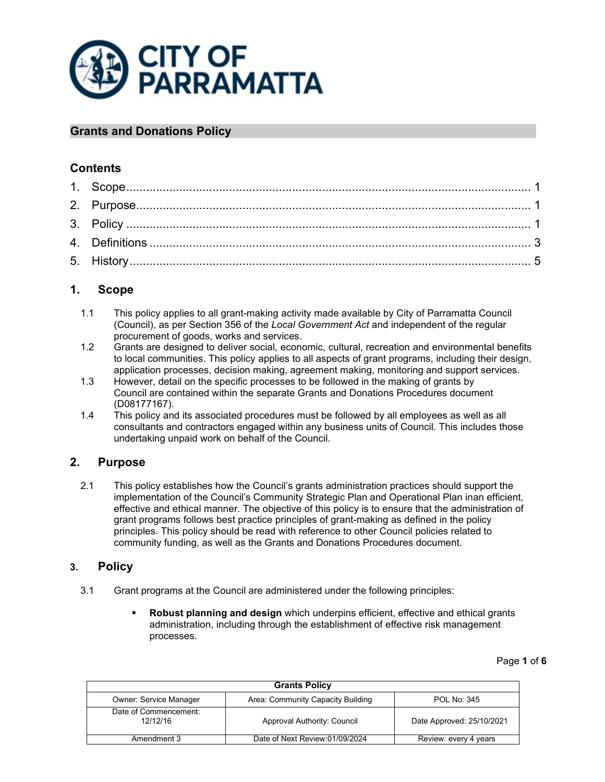

## **Grants and Donations Policy**

## **Contents**

# <span id="page-0-0"></span>**1. Scope**

- 1.1 This policy applies to all grant-making activity made available by City of Parramatta Council (Council), as per Section 356 of the *Local Government Act* and independent of the regular procurement of goods, works and services.
- 1.2 Grants are designed to deliver social, economic, cultural, recreation and environmental benefits to local communities. This policy applies to all aspects of grant programs, including their design, application processes, decision making, agreement making, monitoring and support services.
- 1.3 However, detail on the specific processes to be followed in the making of grants by Council are contained within the separate Grants and Donations Procedures document (D08177167).
- 1.4 This policy and its associated procedures must be followed by all employees as well as all consultants and contractors engaged within any business units of Council. This includes those undertaking unpaid work on behalf of the Council.

## <span id="page-0-1"></span>**2. Purpose**

2.1 This policy establishes how the Council's grants administration practices should support the implementation of the Council's Community Strategic Plan and Operational Plan inan efficient, effective and ethical manner. The objective of this policy is to ensure that the administration of grant programs follows best practice principles of grant-making as defined in the policy principles. This policy should be read with reference to other Council policies related to community funding, as well as the Grants and Donations Procedures document.

## <span id="page-0-2"></span>**3. Policy**

- 3.1 Grant programs at the Council are administered under the following principles:
	- **Robust planning and design** which underpins efficient, effective and ethical grants administration, including through the establishment of effective risk management processes.

Page **1** of **6**

| <b>Grants Policy</b>              |                                   |                           |  |
|-----------------------------------|-----------------------------------|---------------------------|--|
| <b>Owner: Service Manager</b>     | Area: Community Capacity Building | POL No: 345               |  |
| Date of Commencement:<br>12/12/16 | Approval Authority: Council       | Date Approved: 25/10/2021 |  |
| Amendment 3                       | Date of Next Review:01/09/2024    | Review: every 4 years     |  |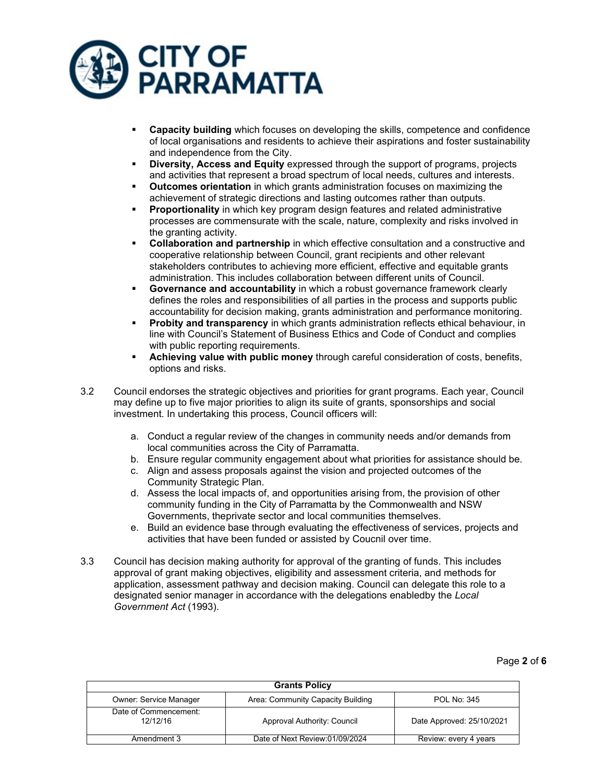

- **Capacity building** which focuses on developing the skills, competence and confidence of local organisations and residents to achieve their aspirations and foster sustainability and independence from the City.
- **Diversity, Access and Equity** expressed through the support of programs, projects and activities that represent a broad spectrum of local needs, cultures and interests.
- **Outcomes orientation** in which grants administration focuses on maximizing the achievement of strategic directions and lasting outcomes rather than outputs.
- **Proportionality** in which key program design features and related administrative processes are commensurate with the scale, nature, complexity and risks involved in the granting activity.
- **Collaboration and partnership** in which effective consultation and a constructive and cooperative relationship between Council, grant recipients and other relevant stakeholders contributes to achieving more efficient, effective and equitable grants administration. This includes collaboration between different units of Council.
- **Governance and accountability** in which a robust governance framework clearly defines the roles and responsibilities of all parties in the process and supports public accountability for decision making, grants administration and performance monitoring.
- **Probity and transparency** in which grants administration reflects ethical behaviour, in line with Council's Statement of Business Ethics and Code of Conduct and complies with public reporting requirements.
- **Achieving value with public money** through careful consideration of costs, benefits, options and risks.
- 3.2 Council endorses the strategic objectives and priorities for grant programs. Each year, Council may define up to five major priorities to align its suite of grants, sponsorships and social investment. In undertaking this process, Council officers will:
	- a. Conduct a regular review of the changes in community needs and/or demands from local communities across the City of Parramatta.
	- b. Ensure regular community engagement about what priorities for assistance should be.
	- c. Align and assess proposals against the vision and projected outcomes of the Community Strategic Plan.
	- d. Assess the local impacts of, and opportunities arising from, the provision of other community funding in the City of Parramatta by the Commonwealth and NSW Governments, theprivate sector and local communities themselves.
	- e. Build an evidence base through evaluating the effectiveness of services, projects and activities that have been funded or assisted by Coucnil over time.
- 3.3 Council has decision making authority for approval of the granting of funds. This includes approval of grant making objectives, eligibility and assessment criteria, and methods for application, assessment pathway and decision making. Council can delegate this role to a designated senior manager in accordance with the delegations enabledby the *Local Government Act* (1993).

| <b>Grants Policy</b>              |                                   |                           |  |
|-----------------------------------|-----------------------------------|---------------------------|--|
| <b>Owner: Service Manager</b>     | Area: Community Capacity Building | POL No: 345               |  |
| Date of Commencement:<br>12/12/16 | Approval Authority: Council       | Date Approved: 25/10/2021 |  |
| Amendment 3                       | Date of Next Review:01/09/2024    | Review: every 4 years     |  |

Page **2** of **6**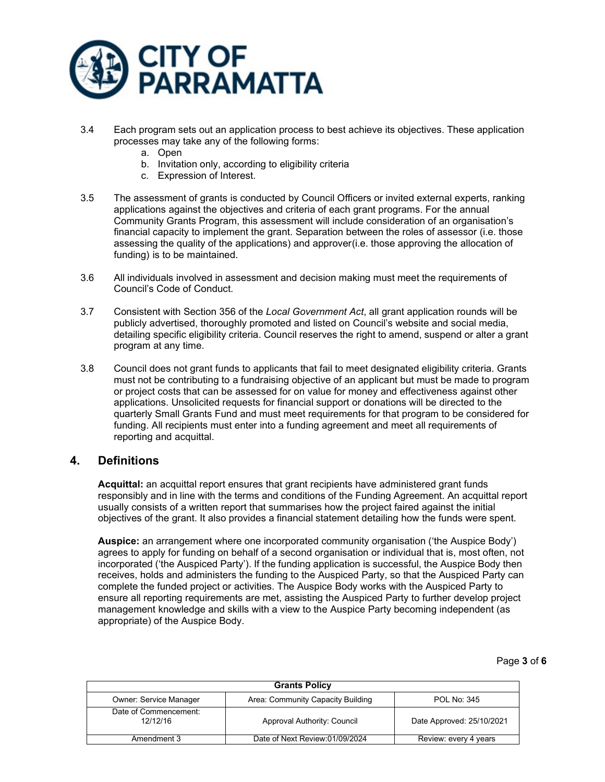

- 3.4 Each program sets out an application process to best achieve its objectives. These application processes may take any of the following forms:
	- a. Open
	- b. Invitation only, according to eligibility criteria
	- c. Expression of Interest.
- 3.5 The assessment of grants is conducted by Council Officers or invited external experts, ranking applications against the objectives and criteria of each grant programs. For the annual Community Grants Program, this assessment will include consideration of an organisation's financial capacity to implement the grant. Separation between the roles of assessor (i.e. those assessing the quality of the applications) and approver(i.e. those approving the allocation of funding) is to be maintained.
- 3.6 All individuals involved in assessment and decision making must meet the requirements of Council's Code of Conduct.
- 3.7 Consistent with Section 356 of the *Local Government Act*, all grant application rounds will be publicly advertised, thoroughly promoted and listed on Council's website and social media, detailing specific eligibility criteria. Council reserves the right to amend, suspend or alter a grant program at any time.
- 3.8 Council does not grant funds to applicants that fail to meet designated eligibility criteria. Grants must not be contributing to a fundraising objective of an applicant but must be made to program or project costs that can be assessed for on value for money and effectiveness against other applications. Unsolicited requests for financial support or donations will be directed to the quarterly Small Grants Fund and must meet requirements for that program to be considered for funding. All recipients must enter into a funding agreement and meet all requirements of reporting and acquittal.

#### <span id="page-2-0"></span>**4. Definitions**

**Acquittal:** an acquittal report ensures that grant recipients have administered grant funds responsibly and in line with the terms and conditions of the Funding Agreement. An acquittal report usually consists of a written report that summarises how the project faired against the initial objectives of the grant. It also provides a financial statement detailing how the funds were spent.

**Auspice:** an arrangement where one incorporated community organisation ('the Auspice Body') agrees to apply for funding on behalf of a second organisation or individual that is, most often, not incorporated ('the Auspiced Party'). If the funding application is successful, the Auspice Body then receives, holds and administers the funding to the Auspiced Party, so that the Auspiced Party can complete the funded project or activities. The Auspice Body works with the Auspiced Party to ensure all reporting requirements are met, assisting the Auspiced Party to further develop project management knowledge and skills with a view to the Auspice Party becoming independent (as appropriate) of the Auspice Body.

Page **3** of **6**

| <b>Grants Policy</b>              |                                   |                           |  |
|-----------------------------------|-----------------------------------|---------------------------|--|
| <b>Owner: Service Manager</b>     | Area: Community Capacity Building | <b>POL No: 345</b>        |  |
| Date of Commencement:<br>12/12/16 | Approval Authority: Council       | Date Approved: 25/10/2021 |  |
| Amendment 3                       | Date of Next Review:01/09/2024    | Review: every 4 years     |  |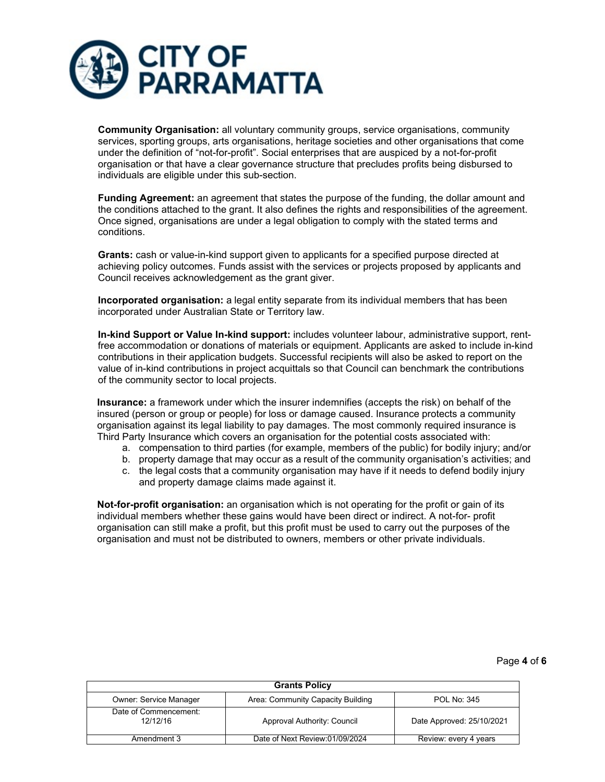

**Community Organisation:** all voluntary community groups, service organisations, community services, sporting groups, arts organisations, heritage societies and other organisations that come under the definition of "not-for-profit". Social enterprises that are auspiced by a not-for-profit organisation or that have a clear governance structure that precludes profits being disbursed to individuals are eligible under this sub-section.

**Funding Agreement:** an agreement that states the purpose of the funding, the dollar amount and the conditions attached to the grant. It also defines the rights and responsibilities of the agreement. Once signed, organisations are under a legal obligation to comply with the stated terms and conditions.

**Grants:** cash or value-in-kind support given to applicants for a specified purpose directed at achieving policy outcomes. Funds assist with the services or projects proposed by applicants and Council receives acknowledgement as the grant giver.

**Incorporated organisation:** a legal entity separate from its individual members that has been incorporated under Australian State or Territory law.

**In-kind Support or Value In-kind support:** includes volunteer labour, administrative support, rentfree accommodation or donations of materials or equipment. Applicants are asked to include in-kind contributions in their application budgets. Successful recipients will also be asked to report on the value of in-kind contributions in project acquittals so that Council can benchmark the contributions of the community sector to local projects.

**Insurance:** a framework under which the insurer indemnifies (accepts the risk) on behalf of the insured (person or group or people) for loss or damage caused. Insurance protects a community organisation against its legal liability to pay damages. The most commonly required insurance is Third Party Insurance which covers an organisation for the potential costs associated with:

- a. compensation to third parties (for example, members of the public) for bodily injury; and/or
- b. property damage that may occur as a result of the community organisation's activities; and
- c. the legal costs that a community organisation may have if it needs to defend bodily injury and property damage claims made against it.

**Not-for-profit organisation:** an organisation which is not operating for the profit or gain of its individual members whether these gains would have been direct or indirect. A not-for- profit organisation can still make a profit, but this profit must be used to carry out the purposes of the organisation and must not be distributed to owners, members or other private individuals.

#### Page **4** of **6**

| <b>Grants Policy</b>              |                                   |                           |  |
|-----------------------------------|-----------------------------------|---------------------------|--|
| <b>Owner: Service Manager</b>     | Area: Community Capacity Building | <b>POL No: 345</b>        |  |
| Date of Commencement:<br>12/12/16 | Approval Authority: Council       | Date Approved: 25/10/2021 |  |
| Amendment 3                       | Date of Next Review:01/09/2024    | Review: every 4 years     |  |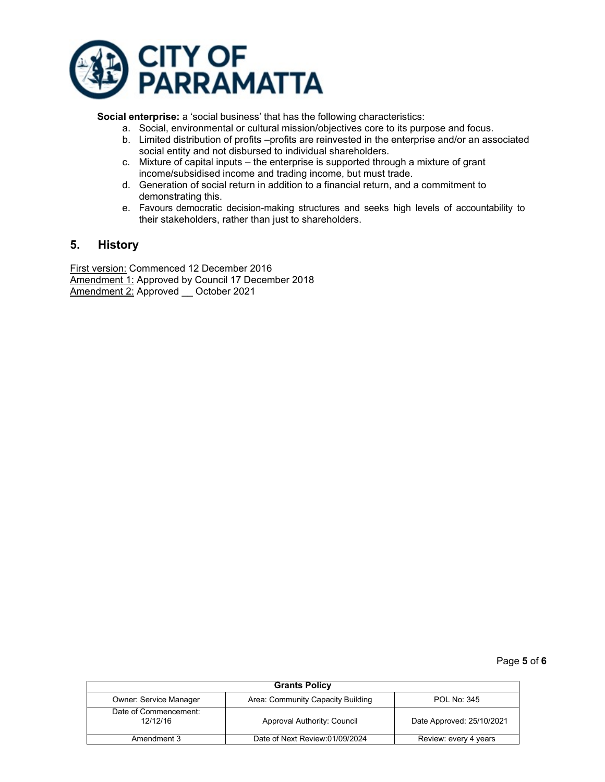

**Social enterprise:** a 'social business' that has the following characteristics:

- a. Social, environmental or cultural mission/objectives core to its purpose and focus.
- b. Limited distribution of profits –profits are reinvested in the enterprise and/or an associated social entity and not disbursed to individual shareholders.
- c. Mixture of capital inputs the enterprise is supported through a mixture of grant income/subsidised income and trading income, but must trade.
- d. Generation of social return in addition to a financial return, and a commitment to demonstrating this.
- e. Favours democratic decision-making structures and seeks high levels of accountability to their stakeholders, rather than just to shareholders.

#### <span id="page-4-0"></span>**5. History**

First version: Commenced 12 December 2016 Amendment 1: Approved by Council 17 December 2018 Amendment 2: Approved \_\_ October 2021

#### Page **5** of **6**

| <b>Grants Policy</b>              |                                   |                           |  |
|-----------------------------------|-----------------------------------|---------------------------|--|
| <b>Owner: Service Manager</b>     | Area: Community Capacity Building | <b>POL No: 345</b>        |  |
| Date of Commencement:<br>12/12/16 | Approval Authority: Council       | Date Approved: 25/10/2021 |  |
| Amendment 3                       | Date of Next Review:01/09/2024    | Review: every 4 years     |  |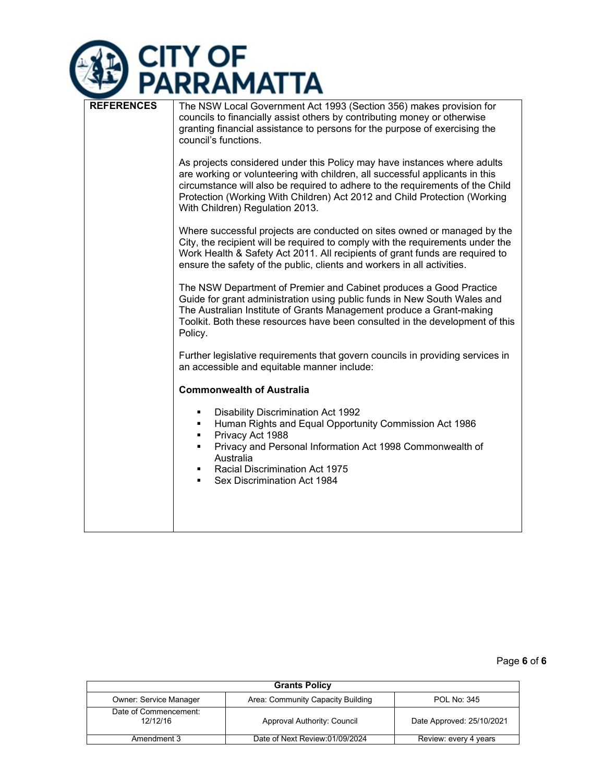

| <b>REFERENCES</b> | The NSW Local Government Act 1993 (Section 356) makes provision for<br>councils to financially assist others by contributing money or otherwise<br>granting financial assistance to persons for the purpose of exercising the<br>council's functions.                                                                                                     |  |  |
|-------------------|-----------------------------------------------------------------------------------------------------------------------------------------------------------------------------------------------------------------------------------------------------------------------------------------------------------------------------------------------------------|--|--|
|                   | As projects considered under this Policy may have instances where adults<br>are working or volunteering with children, all successful applicants in this<br>circumstance will also be required to adhere to the requirements of the Child<br>Protection (Working With Children) Act 2012 and Child Protection (Working<br>With Children) Regulation 2013. |  |  |
|                   | Where successful projects are conducted on sites owned or managed by the<br>City, the recipient will be required to comply with the requirements under the<br>Work Health & Safety Act 2011. All recipients of grant funds are required to<br>ensure the safety of the public, clients and workers in all activities.                                     |  |  |
|                   | The NSW Department of Premier and Cabinet produces a Good Practice<br>Guide for grant administration using public funds in New South Wales and<br>The Australian Institute of Grants Management produce a Grant-making<br>Toolkit. Both these resources have been consulted in the development of this<br>Policy.                                         |  |  |
|                   | Further legislative requirements that govern councils in providing services in<br>an accessible and equitable manner include:                                                                                                                                                                                                                             |  |  |
|                   | <b>Commonwealth of Australia</b>                                                                                                                                                                                                                                                                                                                          |  |  |
|                   | <b>Disability Discrimination Act 1992</b><br>٠<br>Human Rights and Equal Opportunity Commission Act 1986<br>٠<br>Privacy Act 1988<br>٠                                                                                                                                                                                                                    |  |  |
|                   | Privacy and Personal Information Act 1998 Commonwealth of<br>٠<br>Australia<br><b>Racial Discrimination Act 1975</b><br>٠<br>Sex Discrimination Act 1984<br>٠                                                                                                                                                                                             |  |  |
|                   |                                                                                                                                                                                                                                                                                                                                                           |  |  |

Page **6** of **6**

| <b>Grants Policy</b>              |                                   |                           |  |
|-----------------------------------|-----------------------------------|---------------------------|--|
| <b>Owner: Service Manager</b>     | Area: Community Capacity Building | POL No: 345               |  |
| Date of Commencement:<br>12/12/16 | Approval Authority: Council       | Date Approved: 25/10/2021 |  |
| Amendment 3                       | Date of Next Review:01/09/2024    | Review: every 4 years     |  |